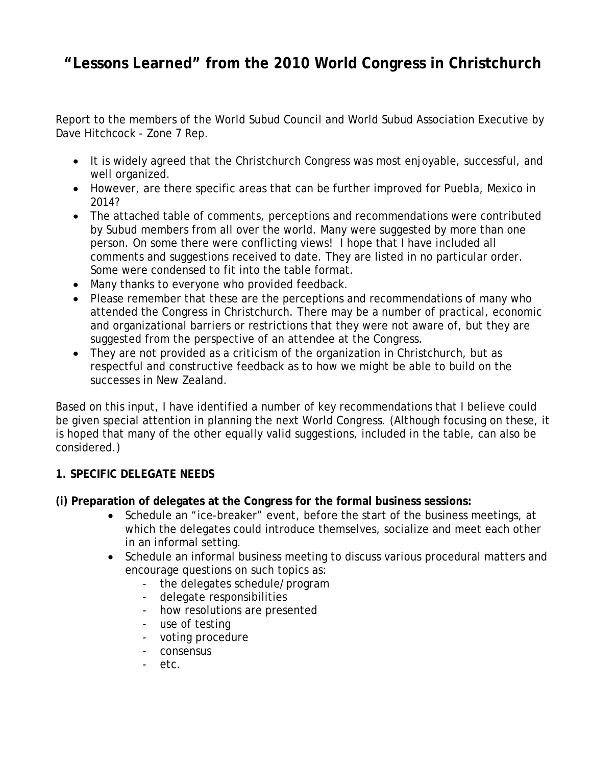# **"Lessons Learned" from the 2010 World Congress in Christchurch**

Report to the members of the World Subud Council and World Subud Association Executive by Dave Hitchcock - Zone 7 Rep.

- It is widely agreed that the Christchurch Congress was most enjoyable, successful, and well organized.
- However, are there specific areas that can be further improved for Puebla, Mexico in 2014?
- The attached table of comments, perceptions and recommendations were contributed by Subud members from all over the world. Many were suggested by more than one person. On some there were conflicting views! I hope that I have included all comments and suggestions received to date. They are listed in no particular order. Some were condensed to fit into the table format.
- Many thanks to everyone who provided feedback.
- Please remember that these are the perceptions and recommendations of many who attended the Congress in Christchurch. There may be a number of practical, economic and organizational barriers or restrictions that they were not aware of, but they are suggested from the perspective of an attendee at the Congress.
- They are not provided as a criticism of the organization in Christchurch, but as respectful and constructive feedback as to how we might be able to build on the successes in New Zealand.

Based on this input, I have identified a number of key recommendations that I believe could be given special attention in planning the next World Congress. (Although focusing on these, it is hoped that many of the other equally valid suggestions, included in the table, can also be considered.)

## **1. SPECIFIC DELEGATE NEEDS**

#### **(i) Preparation of delegates at the Congress for the formal business sessions:**

- Schedule an "ice-breaker" event, before the start of the business meetings, at which the delegates could introduce themselves, socialize and meet each other in an informal setting.
- Schedule an informal business meeting to discuss various procedural matters and encourage questions on such topics as:
	- the delegates schedule/program
	- delegate responsibilities
	- how resolutions are presented
	- use of testing
	- voting procedure
	- consensus
	- etc.